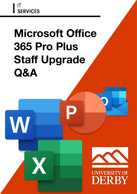I IT<br>SERVICES

W

# **Microsoft Office 365 Pro Plus Staff Upgrade Q&A**



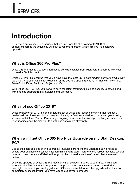# **Introduction**

IT Services are pleased to announce that starting from 1st of November 2019, Staff computers across the University will start to receive Microsoft Office 365 Pro Plus software upgrade.

## **What is Office 365 Pro Plus?**

Office 365 Pro Plus is a subscription based software service from Microsoft that comes with your University Staff Account.

Office 365 Pro Plus ensures that you always have the most up-to-date modern software productivity tools from Microsoft Office. It includes all of the desktop apps that you're familiar with, like Word, PowerPoint, Excel, Publisher, Project and Visio.

With Office 365 Pro Plus, you'll always have the latest features, fixes, and security updates along with ongoing support from IT Services and Microsoft.

#### **Why not use Office 2019?**

Office Professional 2019 is a one off feature set of Office applications, meaning that you get a predefined set of features, but no new functionality or features added as months and years go by, whereas with Office 365 Pro Plus you get ongoing monthly features and productivity enhancement to your office apps, helping you to get things done more effectively.

#### **When will I get Office 365 Pro Plus Upgrade on my Staff Desktop PC?**

Due to the scale and size of this upgrade, IT Services are rolling this upgrade out in phases to ensure your business critical activities remain uninterrupted. Therefore, this rollout may take several months to reach every staff device throughout the University, we therefore ask that you remain patient.

Once the upgrade of Office 365 Pro Plus software has been targeted to your area, it will occur automatically. This automated upgrade takes place during our system maintenance window overnight, however if you are logged in and Office apps are left open, the upgrade will not start or completely successfully until you have logged out of your computer.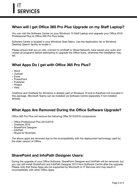# **When will I get Office 365 Pro Plus Upgrade on my Staff Laptop?**

You can visit the Software Centre on your Windows 10 Staff Laptop and upgrade your Office 2016 Professional Plus to Office 365 Pro Plus today.

Software Centre is located in your Windows Start Menu. Use the Application list or Windows Desktop Search facility to locate it.

Please ensure that you on site, connect to UniStaff or Wired Network, have saved your work and closed all programs before attempting to upgrade the Office Suite, otherwise the installation may fail.

# **What Apps Do I get with Office 365 Pro Plus?**

- Word
- Outlook
- Excel
- PowerPoint
- Publisher
- Project
- Visio

OneDrive and OneNote for Windows is already part of Windows 10 and is therefore not included in this package. Microsoft Teams can be installed via Software Centre separately if not installed already.

## **What Apps Are Removed During the Office Software Upgrade?**

Office 365 Pro Plus will remove the following Offie 2013/2016 components:

- Office Professional Plus 2013/2016
- OneNote 2016
- SharePoint Designer
- InfoPath
- Skype for Business

The above apps are removed due to the incompatibility with the deployment technology used by the older version of Office.

#### **SharePoint and InfoPath Designer Users:**

During the upgrade of your Office Software, SharePoint Designer and InfoPath will be removed, but you can still install SharePoint and InfoPath Designer 2013 from Software Centre after the upgrade. Please note that these Apps are not supported by Microsoft or IT Services and may result in incompatibility with other Office Apps.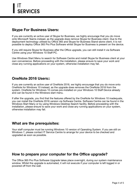#### **Skype For Business Users:**

If you are currently an active user of Skype for Business, we highly encourage that you do move onto Microsoft Teams instead, as the upgrade does remove Skype for Business client. Due to the deployment technology utilised by Office 365 and Skype for Business Stand-alone client, it is not possible to deploy Office 365 Pro Plus Software whilst Skype for Business is present on the device.

If you still require Skype for Business after the Office upgrade, you can still install it via Software Centre using your Windows 10 Staff PC.

Use Windows Start Menu to search for Software Centre and install Skype for Business client at your own convenience. Before proceeding with the installation, please ensure to save your work and close any running applications on your system, otherwise installation may fail.

#### **OneNote 2016 Users::**

If you are currently an active user of OneNote 2016, we highly encourage that you do move onto OneNote for Windows 10 instead, as the upgrade does removes the OneNote 2016 from the system. OneNote for Windows 10 comes pre-installed on your Windows 10 Staff Device already and can be found in the Windows start menu.

If after the upgrade, you find that the features offered by the OneNote for Windows 10 inadequate, you can install the OneNote 2016 version via Software Centre. Software Centre can be found in the Windows Start Many or by using Windows Desktop Search facility. Before proceeding with the installation, please ensure to save your work and close any running applications on your system, otherwise installation may fail.

#### **What are the prerequisites:**

Your staff computer must be running Windows 10 version of Operating System. If you are still on Windows 7, please contact IT Service Centre to arrange for your device to be checked and upgraded as soon as possible.

#### **How to prepare your computer for the Office upgrade?**

The Office 365 Pro Plus Software Upgrade takes place overnight, during our system maintenance window. Whilst the upgrade is automated, it will not execute if your computer is left logged in or powered off from the wall.